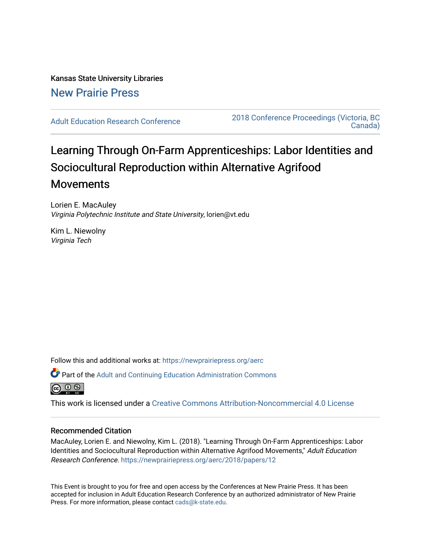# Kansas State University Libraries [New Prairie Press](https://newprairiepress.org/)

[Adult Education Research Conference](https://newprairiepress.org/aerc) [2018 Conference Proceedings \(Victoria, BC](https://newprairiepress.org/aerc/2018)  [Canada\)](https://newprairiepress.org/aerc/2018) 

# Learning Through On-Farm Apprenticeships: Labor Identities and Sociocultural Reproduction within Alternative Agrifood Movements

Lorien E. MacAuley Virginia Polytechnic Institute and State University, lorien@vt.edu

Kim L. Niewolny Virginia Tech

Follow this and additional works at: [https://newprairiepress.org/aerc](https://newprairiepress.org/aerc?utm_source=newprairiepress.org%2Faerc%2F2018%2Fpapers%2F12&utm_medium=PDF&utm_campaign=PDFCoverPages)

Part of the [Adult and Continuing Education Administration Commons](http://network.bepress.com/hgg/discipline/789?utm_source=newprairiepress.org%2Faerc%2F2018%2Fpapers%2F12&utm_medium=PDF&utm_campaign=PDFCoverPages)



This work is licensed under a [Creative Commons Attribution-Noncommercial 4.0 License](https://creativecommons.org/licenses/by-nc/4.0/)

# Recommended Citation

MacAuley, Lorien E. and Niewolny, Kim L. (2018). "Learning Through On-Farm Apprenticeships: Labor Identities and Sociocultural Reproduction within Alternative Agrifood Movements," Adult Education Research Conference. <https://newprairiepress.org/aerc/2018/papers/12>

This Event is brought to you for free and open access by the Conferences at New Prairie Press. It has been accepted for inclusion in Adult Education Research Conference by an authorized administrator of New Prairie Press. For more information, please contact [cads@k-state.edu.](mailto:cads@k-state.edu)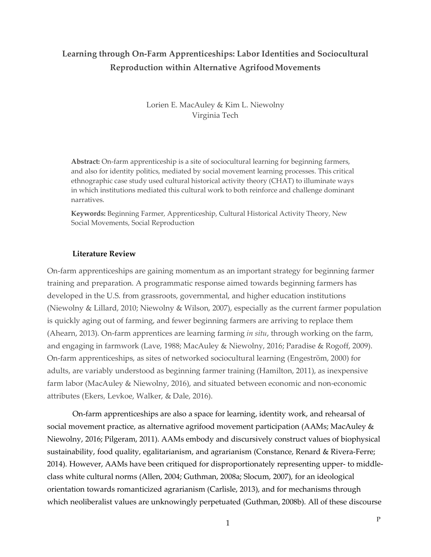# **Learning through On-Farm Apprenticeships: Labor Identities and Sociocultural Reproduction within Alternative AgrifoodMovements**

Lorien E. MacAuley & Kim L. Niewolny Virginia Tech

**Abstract:** On-farm apprenticeship is a site of sociocultural learning for beginning farmers, and also for identity politics, mediated by social movement learning processes. This critical ethnographic case study used cultural historical activity theory (CHAT) to illuminate ways in which institutions mediated this cultural work to both reinforce and challenge dominant narratives.

**Keywords:** Beginning Farmer, Apprenticeship, Cultural Historical Activity Theory, New Social Movements, Social Reproduction

## **Literature Review**

On-farm apprenticeships are gaining momentum as an important strategy for beginning farmer training and preparation. A programmatic response aimed towards beginning farmers has developed in the U.S. from grassroots, governmental, and higher education institutions (Niewolny & Lillard, 2010; Niewolny & Wilson, 2007), especially as the current farmer population is quickly aging out of farming, and fewer beginning farmers are arriving to replace them (Ahearn, 2013). On-farm apprentices are learning farming *in situ*, through working on the farm, and engaging in farmwork (Lave, 1988; MacAuley & Niewolny, 2016; Paradise & Rogoff, 2009). On-farm apprenticeships, as sites of networked sociocultural learning (Engeström, 2000) for adults, are variably understood as beginning farmer training (Hamilton, 2011), as inexpensive farm labor (MacAuley & Niewolny, 2016), and situated between economic and non-economic attributes (Ekers, Levkoe, Walker, & Dale, 2016).

On-farm apprenticeships are also a space for learning, identity work, and rehearsal of social movement practice, as alternative agrifood movement participation (AAMs; MacAuley & Niewolny, 2016; Pilgeram, 2011). AAMs embody and discursively construct values of biophysical sustainability, food quality, egalitarianism, and agrarianism (Constance, Renard & Rivera-Ferre; 2014). However, AAMs have been critiqued for disproportionately representing upper- to middleclass white cultural norms (Allen, 2004; Guthman, 2008a; Slocum, 2007), for an ideological orientation towards romanticized agrarianism (Carlisle, 2013), and for mechanisms through which neoliberalist values are unknowingly perpetuated (Guthman, 2008b). All of these discourse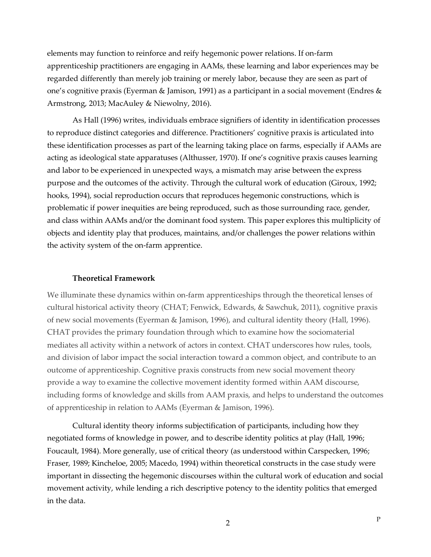elements may function to reinforce and reify hegemonic power relations. If on-farm apprenticeship practitioners are engaging in AAMs, these learning and labor experiences may be regarded differently than merely job training or merely labor, because they are seen as part of one's cognitive praxis (Eyerman & Jamison, 1991) as a participant in a social movement (Endres & Armstrong, 2013; MacAuley & Niewolny, 2016).

As Hall (1996) writes, individuals embrace signifiers of identity in identification processes to reproduce distinct categories and difference. Practitioners' cognitive praxis is articulated into these identification processes as part of the learning taking place on farms, especially if AAMs are acting as ideological state apparatuses (Althusser, 1970). If one's cognitive praxis causes learning and labor to be experienced in unexpected ways, a mismatch may arise between the express purpose and the outcomes of the activity. Through the cultural work of education (Giroux, 1992; hooks, 1994), social reproduction occurs that reproduces hegemonic constructions, which is problematic if power inequities are being reproduced, such as those surrounding race, gender, and class within AAMs and/or the dominant food system. This paper explores this multiplicity of objects and identity play that produces, maintains, and/or challenges the power relations within the activity system of the on-farm apprentice.

# **Theoretical Framework**

We illuminate these dynamics within on-farm apprenticeships through the theoretical lenses of cultural historical activity theory (CHAT; Fenwick, Edwards, & Sawchuk, 2011), cognitive praxis of new social movements (Eyerman & Jamison, 1996), and cultural identity theory (Hall, 1996). CHAT provides the primary foundation through which to examine how the sociomaterial mediates all activity within a network of actors in context. CHAT underscores how rules, tools, and division of labor impact the social interaction toward a common object, and contribute to an outcome of apprenticeship. Cognitive praxis constructs from new social movement theory provide a way to examine the collective movement identity formed within AAM discourse, including forms of knowledge and skills from AAM praxis, and helps to understand the outcomes of apprenticeship in relation to AAMs (Eyerman & Jamison, 1996).

Cultural identity theory informs subjectification of participants, including how they negotiated forms of knowledge in power, and to describe identity politics at play (Hall, 1996; Foucault, 1984). More generally, use of critical theory (as understood within Carspecken, 1996; Fraser, 1989; Kincheloe, 2005; Macedo, 1994) within theoretical constructs in the case study were important in dissecting the hegemonic discourses within the cultural work of education and social movement activity, while lending a rich descriptive potency to the identity politics that emerged in the data.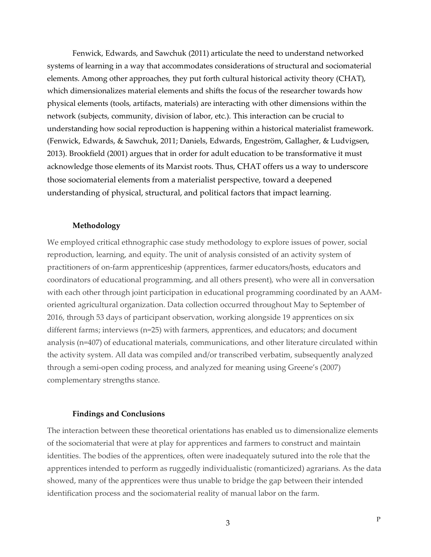Fenwick, Edwards, and Sawchuk (2011) articulate the need to understand networked systems of learning in a way that accommodates considerations of structural and sociomaterial elements. Among other approaches, they put forth cultural historical activity theory (CHAT), which dimensionalizes material elements and shifts the focus of the researcher towards how physical elements (tools, artifacts, materials) are interacting with other dimensions within the network (subjects, community, division of labor, etc.). This interaction can be crucial to understanding how social reproduction is happening within a historical materialist framework. (Fenwick, Edwards, & Sawchuk, 2011; Daniels, Edwards, Engeström, Gallagher, & Ludvigsen, 2013). Brookfield (2001) argues that in order for adult education to be transformative it must acknowledge those elements of its Marxist roots. Thus, CHAT offers us a way to underscore those sociomaterial elements from a materialist perspective, toward a deepened understanding of physical, structural, and political factors that impact learning.

## **Methodology**

We employed critical ethnographic case study methodology to explore issues of power, social reproduction, learning, and equity. The unit of analysis consisted of an activity system of practitioners of on-farm apprenticeship (apprentices, farmer educators/hosts, educators and coordinators of educational programming, and all others present), who were all in conversation with each other through joint participation in educational programming coordinated by an AAMoriented agricultural organization. Data collection occurred throughout May to September of 2016, through 53 days of participant observation, working alongside 19 apprentices on six different farms; interviews (n=25) with farmers, apprentices, and educators; and document analysis (n=407) of educational materials, communications, and other literature circulated within the activity system. All data was compiled and/or transcribed verbatim, subsequently analyzed through a semi-open coding process, and analyzed for meaning using Greene's (2007) complementary strengths stance.

#### **Findings and Conclusions**

The interaction between these theoretical orientations has enabled us to dimensionalize elements of the sociomaterial that were at play for apprentices and farmers to construct and maintain identities. The bodies of the apprentices, often were inadequately sutured into the role that the apprentices intended to perform as ruggedly individualistic (romanticized) agrarians. As the data showed, many of the apprentices were thus unable to bridge the gap between their intended identification process and the sociomaterial reality of manual labor on the farm.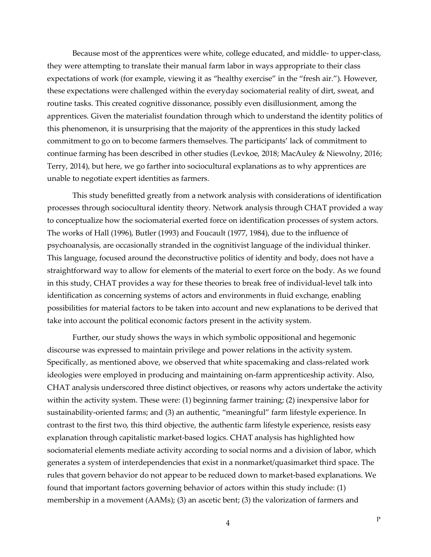Because most of the apprentices were white, college educated, and middle- to upper-class, they were attempting to translate their manual farm labor in ways appropriate to their class expectations of work (for example, viewing it as "healthy exercise" in the "fresh air."). However, these expectations were challenged within the everyday sociomaterial reality of dirt, sweat, and routine tasks. This created cognitive dissonance, possibly even disillusionment, among the apprentices. Given the materialist foundation through which to understand the identity politics of this phenomenon, it is unsurprising that the majority of the apprentices in this study lacked commitment to go on to become farmers themselves. The participants' lack of commitment to continue farming has been described in other studies (Levkoe, 2018; MacAuley & Niewolny, 2016; Terry, 2014), but here, we go farther into sociocultural explanations as to why apprentices are unable to negotiate expert identities as farmers.

This study benefitted greatly from a network analysis with considerations of identification processes through sociocultural identity theory. Network analysis through CHAT provided a way to conceptualize how the sociomaterial exerted force on identification processes of system actors. The works of Hall (1996), Butler (1993) and Foucault (1977, 1984), due to the influence of psychoanalysis, are occasionally stranded in the cognitivist language of the individual thinker. This language, focused around the deconstructive politics of identity and body, does not have a straightforward way to allow for elements of the material to exert force on the body. As we found in this study, CHAT provides a way for these theories to break free of individual-level talk into identification as concerning systems of actors and environments in fluid exchange, enabling possibilities for material factors to be taken into account and new explanations to be derived that take into account the political economic factors present in the activity system.

Further, our study shows the ways in which symbolic oppositional and hegemonic discourse was expressed to maintain privilege and power relations in the activity system. Specifically, as mentioned above, we observed that white spacemaking and class-related work ideologies were employed in producing and maintaining on-farm apprenticeship activity. Also, CHAT analysis underscored three distinct objectives, or reasons why actors undertake the activity within the activity system. These were: (1) beginning farmer training; (2) inexpensive labor for sustainability-oriented farms; and (3) an authentic, "meaningful" farm lifestyle experience. In contrast to the first two, this third objective, the authentic farm lifestyle experience, resists easy explanation through capitalistic market-based logics. CHAT analysis has highlighted how sociomaterial elements mediate activity according to social norms and a division of labor, which generates a system of interdependencies that exist in a nonmarket/quasimarket third space. The rules that govern behavior do not appear to be reduced down to market-based explanations. We found that important factors governing behavior of actors within this study include: (1) membership in a movement (AAMs); (3) an ascetic bent; (3) the valorization of farmers and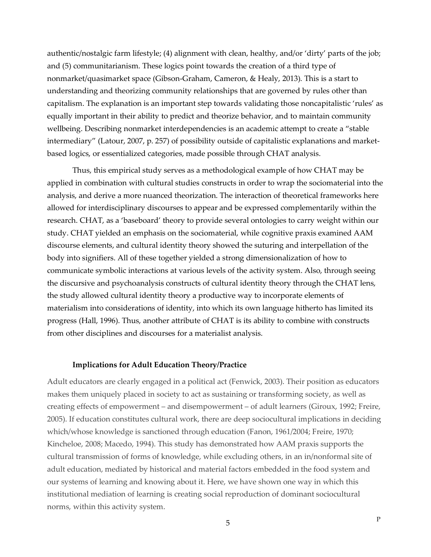authentic/nostalgic farm lifestyle; (4) alignment with clean, healthy, and/or 'dirty' parts of the job; and (5) communitarianism. These logics point towards the creation of a third type of nonmarket/quasimarket space (Gibson-Graham, Cameron, & Healy, 2013). This is a start to understanding and theorizing community relationships that are governed by rules other than capitalism. The explanation is an important step towards validating those noncapitalistic 'rules' as equally important in their ability to predict and theorize behavior, and to maintain community wellbeing. Describing nonmarket interdependencies is an academic attempt to create a "stable intermediary" (Latour, 2007, p. 257) of possibility outside of capitalistic explanations and marketbased logics, or essentialized categories, made possible through CHAT analysis.

Thus, this empirical study serves as a methodological example of how CHAT may be applied in combination with cultural studies constructs in order to wrap the sociomaterial into the analysis, and derive a more nuanced theorization. The interaction of theoretical frameworks here allowed for interdisciplinary discourses to appear and be expressed complementarily within the research. CHAT, as a 'baseboard' theory to provide several ontologies to carry weight within our study. CHAT yielded an emphasis on the sociomaterial, while cognitive praxis examined AAM discourse elements, and cultural identity theory showed the suturing and interpellation of the body into signifiers. All of these together yielded a strong dimensionalization of how to communicate symbolic interactions at various levels of the activity system. Also, through seeing the discursive and psychoanalysis constructs of cultural identity theory through the CHAT lens, the study allowed cultural identity theory a productive way to incorporate elements of materialism into considerations of identity, into which its own language hitherto has limited its progress (Hall, 1996). Thus, another attribute of CHAT is its ability to combine with constructs from other disciplines and discourses for a materialist analysis.

## **Implications for Adult Education Theory/Practice**

Adult educators are clearly engaged in a political act (Fenwick, 2003). Their position as educators makes them uniquely placed in society to act as sustaining or transforming society, as well as creating effects of empowerment – and disempowerment – of adult learners (Giroux, 1992; Freire, 2005). If education constitutes cultural work, there are deep sociocultural implications in deciding which/whose knowledge is sanctioned through education (Fanon, 1961/2004; Freire, 1970; Kincheloe, 2008; Macedo, 1994). This study has demonstrated how AAM praxis supports the cultural transmission of forms of knowledge, while excluding others, in an in/nonformal site of adult education, mediated by historical and material factors embedded in the food system and our systems of learning and knowing about it. Here, we have shown one way in which this institutional mediation of learning is creating social reproduction of dominant sociocultural norms, within this activity system.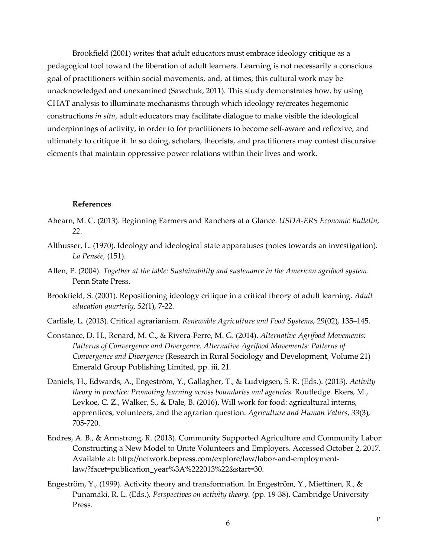Brookfield (2001) writes that adult educators must embrace ideology critique as a pedagogical tool toward the liberation of adult learners. Learning is not necessarily a conscious goal of practitioners within social movements, and, at times, this cultural work may be unacknowledged and unexamined (Sawchuk, 2011). This study demonstrates how, by using CHAT analysis to illuminate mechanisms through which ideology re/creates hegemonic constructions *in situ*, adult educators may facilitate dialogue to make visible the ideological underpinnings of activity, in order to for practitioners to become self-aware and reflexive, and ultimately to critique it. In so doing, scholars, theorists, and practitioners may contest discursive elements that maintain oppressive power relations within their lives and work.

#### **References**

- Ahearn, M. C. (2013). Beginning Farmers and Ranchers at a Glance. *USDA-ERS Economic Bulletin*, *22*.
- Althusser, L. (1970). Ideology and ideological state apparatuses (notes towards an investigation). *La Pensée,* (151).
- Allen, P. (2004). *Together at the table: Sustainability and sustenance in the American agrifood system*. Penn State Press.
- Brookfield, S. (2001). Repositioning ideology critique in a critical theory of adult learning. *Adult education quarterly*, *52*(1), 7-22.
- Carlisle, L. (2013). Critical agrarianism. *Renewable Agriculture and Food Systems*, 29(02), 135–145.
- Constance, D. H., Renard, M. C., & Rivera-Ferre, M. G. (2014). *Alternative Agrifood Movements: Patterns of Convergence and Divergence. Alternative Agrifood Movements: Patterns of Convergence and Divergence* (Research in Rural Sociology and Development, Volume 21) Emerald Group Publishing Limited, pp. iii, 21.
- Daniels, H., Edwards, A., Engeström, Y., Gallagher, T., & Ludvigsen, S. R. (Eds.). (2013). *Activity theory in practice: Promoting learning across boundaries and agencies*. Routledge. Ekers, M., Levkoe, C. Z., Walker, S., & Dale, B. (2016). Will work for food: agricultural interns, apprentices, volunteers, and the agrarian question. *Agriculture and Human Values*, *33*(3), 705-720.
- Endres, A. B., & Armstrong, R. (2013). Community Supported Agriculture and Community Labor: Constructing a New Model to Unite Volunteers and Employers. Accessed October 2, 2017. Available at: http://network.bepress.com/explore/law/labor-and-employmentlaw/?facet=publication\_year%3A%222013%22&start=30.
- Engeström, Y., (1999). Activity theory and transformation. In Engeström, Y., Miettinen, R., & Punamäki, R. L. (Eds.). *Perspectives on activity theory*. (pp. 19-38). Cambridge University Press.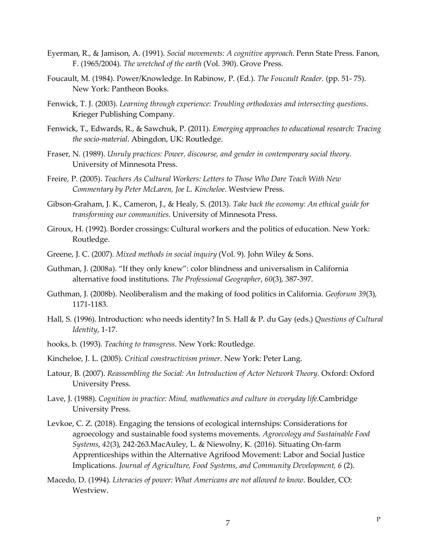- Eyerman, R., & Jamison, A. (1991). *Social movements: A cognitive approach*. Penn State Press. Fanon, F. (1965/2004). *The wretched of the earth* (Vol. 390). Grove Press.
- Foucault, M. (1984). Power/Knowledge. In Rabinow, P. (Ed.). *The Foucault Reader.* (pp. 51- 75). New York: Pantheon Books.
- Fenwick, T. J. (2003). *Learning through experience: Troubling orthodoxies and intersecting questions*. Krieger Publishing Company.
- Fenwick, T., Edwards, R., & Sawchuk, P. (2011). *Emerging approaches to educational research: Tracing the socio-material*. Abingdon, UK: Routledge.
- Fraser, N. (1989). *Unruly practices: Power, discourse, and gender in contemporary social theory*. University of Minnesota Press.
- Freire, P. (2005). *Teachers As Cultural Workers: Letters to Those Who Dare Teach With New Commentary by Peter McLaren, Joe L. Kincheloe*. Westview Press.
- Gibson-Graham, J. K., Cameron, J., & Healy, S. (2013). *Take back the economy: An ethical guide for transforming our communities*. University of Minnesota Press.
- Giroux, H. (1992). Border crossings: Cultural workers and the politics of education. New York: Routledge.
- Greene, J. C. (2007). *Mixed methods in social inquiry* (Vol. 9). John Wiley & Sons.
- Guthman, J. (2008a). "If they only knew": color blindness and universalism in California alternative food institutions. *The Professional Geographer*, *60*(3), 387-397.
- Guthman, J. (2008b). Neoliberalism and the making of food politics in California. *Geoforum 39*(3), 1171-1183.
- Hall, S. (1996). Introduction: who needs identity? In S. Hall & P. du Gay (eds.) *Questions of Cultural Identity*, 1-17.
- hooks, b. (1993). *Teaching to transgress*. New York: Routledge.
- Kincheloe, J. L. (2005). *Critical constructivism primer*. New York: Peter Lang.
- Latour, B. (2007). *Reassembling the Social: An Introduction of Actor Network Theory.* Oxford: Oxford University Press.
- Lave, J. (1988). *Cognition in practice: Mind, mathematics and culture in everyday life*.Cambridge University Press.
- Levkoe, C. Z. (2018). Engaging the tensions of ecological internships: Considerations for agroecology and sustainable food systems movements. *Agroecology and Sustainable Food Systems*, *42*(3), 242-263.MacAuley, L. & Niewolny, K. (2016). Situating On-farm Apprenticeships within the Alternative Agrifood Movement: Labor and Social Justice Implications. *Journal of Agriculture, Food Systems, and Community Development, 6* (2).
- Macedo, D. (1994). *Literacies of power: What Americans are not allowed to know*. Boulder, CO: Westview.